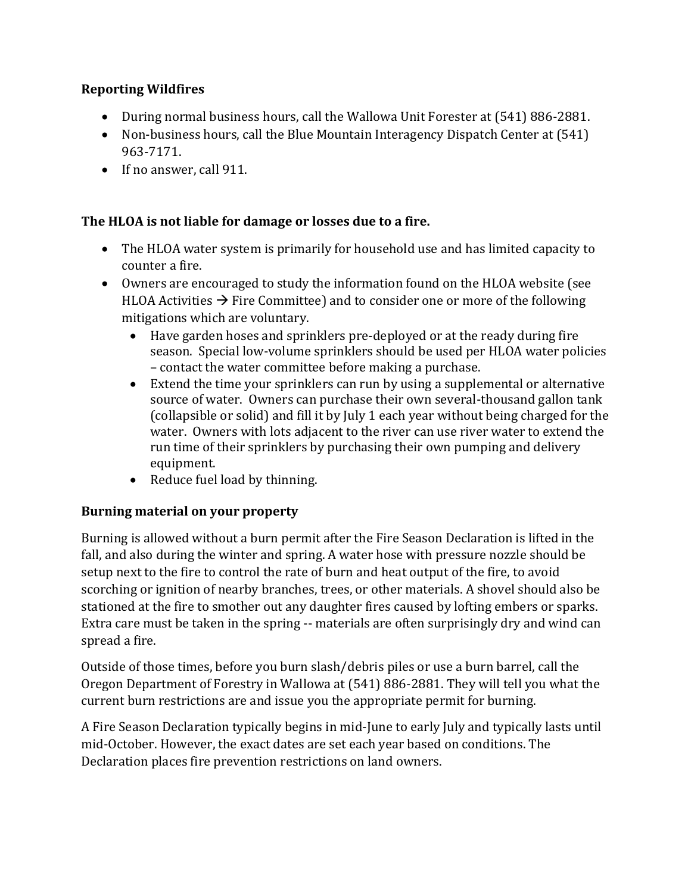## **Reporting Wildfires**

- During normal business hours, call the Wallowa Unit Forester at (541) 886-2881.
- Non-business hours, call the Blue Mountain Interagency Dispatch Center at (541) 963-7171.
- If no answer, call 911.

## **The HLOA is not liable for damage or losses due to a fire.**

- The HLOA water system is primarily for household use and has limited capacity to counter a fire.
- Owners are encouraged to study the information found on the HLOA website (see HLOA Activities  $\rightarrow$  Fire Committee) and to consider one or more of the following mitigations which are voluntary.
	- Have garden hoses and sprinklers pre-deployed or at the ready during fire season. Special low-volume sprinklers should be used per HLOA water policies – contact the water committee before making a purchase.
	- Extend the time your sprinklers can run by using a supplemental or alternative source of water. Owners can purchase their own several-thousand gallon tank (collapsible or solid) and fill it by July 1 each year without being charged for the water. Owners with lots adjacent to the river can use river water to extend the run time of their sprinklers by purchasing their own pumping and delivery equipment.
	- Reduce fuel load by thinning.

## **Burning material on your property**

Burning is allowed without a burn permit after the Fire Season Declaration is lifted in the fall, and also during the winter and spring. A water hose with pressure nozzle should be setup next to the fire to control the rate of burn and heat output of the fire, to avoid scorching or ignition of nearby branches, trees, or other materials. A shovel should also be stationed at the fire to smother out any daughter fires caused by lofting embers or sparks. Extra care must be taken in the spring -- materials are often surprisingly dry and wind can spread a fire.

Outside of those times, before you burn slash/debris piles or use a burn barrel, call the Oregon Department of Forestry in Wallowa at (541) 886-2881. They will tell you what the current burn restrictions are and issue you the appropriate permit for burning.

A Fire Season Declaration typically begins in mid-June to early July and typically lasts until mid-October. However, the exact dates are set each year based on conditions. The Declaration places fire prevention restrictions on land owners.